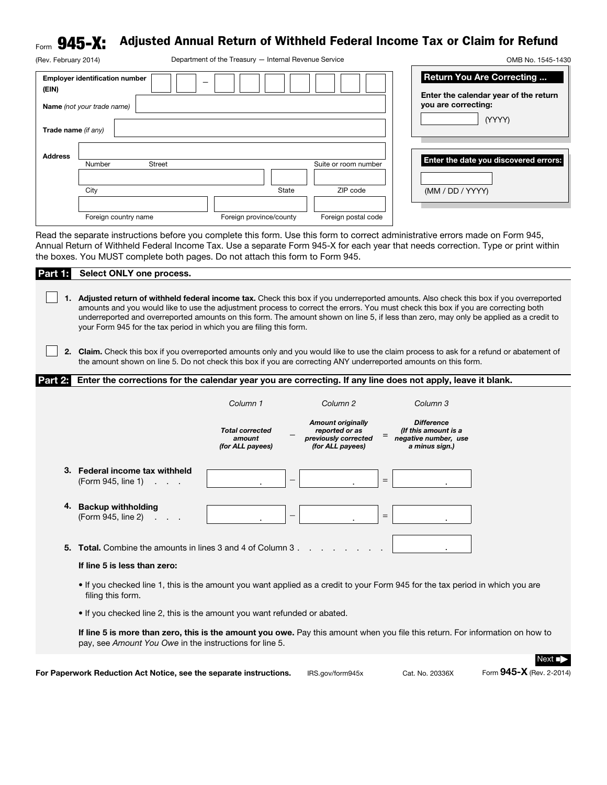## $_{\mathsf{Form}}$   $\mathbf{945\text{-}X:}\;$  Adjusted Annual Return of Withheld Federal Income Tax or Claim for Refund

| (Rev. February 2014) |                                       | Department of the Treasury - Internal Revenue Service |                         |                      | OMB No. 1545-1430                                                         |
|----------------------|---------------------------------------|-------------------------------------------------------|-------------------------|----------------------|---------------------------------------------------------------------------|
| (EIN)                | <b>Employer identification number</b> |                                                       |                         |                      | <b>Return You Are Correcting</b><br>Enter the calendar year of the return |
|                      | Name (not your trade name)            |                                                       |                         |                      | you are correcting:                                                       |
| Trade name (if any)  |                                       |                                                       |                         |                      | (YYYY)                                                                    |
| <b>Address</b>       | Number                                | <b>Street</b>                                         |                         | Suite or room number | Enter the date you discovered errors:                                     |
|                      | City                                  |                                                       | State                   | ZIP code             | (MM / DD / YYYY)                                                          |
|                      | Foreign country name                  |                                                       | Foreign province/county | Foreign postal code  |                                                                           |

Read the separate instructions before you complete this form. Use this form to correct administrative errors made on Form 945, Annual Return of Withheld Federal Income Tax. Use a separate Form 945-X for each year that needs correction. Type or print within the boxes. You MUST complete both pages. Do not attach this form to Form 945.

| Part 1.   | Select ONLY one process.                                                                                                                                                                                                                                                                                                                                                                                                                                                                    |  |  |  |  |  |  |  |  |
|-----------|---------------------------------------------------------------------------------------------------------------------------------------------------------------------------------------------------------------------------------------------------------------------------------------------------------------------------------------------------------------------------------------------------------------------------------------------------------------------------------------------|--|--|--|--|--|--|--|--|
|           | Adjusted return of withheld federal income tax. Check this box if you underreported amounts. Also check this box if you overreported<br>amounts and you would like to use the adjustment process to correct the errors. You must check this box if you are correcting both<br>underreported and overreported amounts on this form. The amount shown on line 5, if less than zero, may only be applied as a credit to<br>your Form 945 for the tax period in which you are filing this form. |  |  |  |  |  |  |  |  |
| 2.        | Claim. Check this box if you overreported amounts only and you would like to use the claim process to ask for a refund or abatement of<br>the amount shown on line 5. Do not check this box if you are correcting ANY underreported amounts on this form.                                                                                                                                                                                                                                   |  |  |  |  |  |  |  |  |
| Part 2: I | Enter the corrections for the calendar year you are correcting. If any line does not apply, leave it blank.                                                                                                                                                                                                                                                                                                                                                                                 |  |  |  |  |  |  |  |  |
|           | Column 1<br>Column <sub>2</sub><br>Column 3                                                                                                                                                                                                                                                                                                                                                                                                                                                 |  |  |  |  |  |  |  |  |
|           | <b>Amount originally</b><br><b>Difference</b><br><b>Total corrected</b><br>reported or as<br>(If this amount is a<br>amount<br>previously corrected<br>negative number, use<br>(for ALL payees)<br>(for ALL payees)<br>a minus sign.)                                                                                                                                                                                                                                                       |  |  |  |  |  |  |  |  |
|           | 3. Federal income tax withheld<br>$\qquad \qquad =$<br>(Form 945, line 1)                                                                                                                                                                                                                                                                                                                                                                                                                   |  |  |  |  |  |  |  |  |
| 4.        | <b>Backup withholding</b><br>$=$<br>(Form 945, line 2)                                                                                                                                                                                                                                                                                                                                                                                                                                      |  |  |  |  |  |  |  |  |
|           | 5. Total. Combine the amounts in lines 3 and 4 of Column 3.<br>If line 5 is less than zero:                                                                                                                                                                                                                                                                                                                                                                                                 |  |  |  |  |  |  |  |  |
|           | . If you checked line 1, this is the amount you want applied as a credit to your Form 945 for the tax period in which you are<br>filing this form.                                                                                                                                                                                                                                                                                                                                          |  |  |  |  |  |  |  |  |
|           | • If you checked line 2, this is the amount you want refunded or abated.                                                                                                                                                                                                                                                                                                                                                                                                                    |  |  |  |  |  |  |  |  |
|           | If line 5 is more than zero, this is the amount you owe. Pay this amount when you file this return. For information on how to<br>pay, see Amount You Owe in the instructions for line 5.                                                                                                                                                                                                                                                                                                    |  |  |  |  |  |  |  |  |
|           | $Next$ $\blacksquare$                                                                                                                                                                                                                                                                                                                                                                                                                                                                       |  |  |  |  |  |  |  |  |

For Paperwork Reduction Act Notice, see the separate instructions. IRS.gov/form945x Cat. No. 20336X Form 945-X (Rev. 2-2014)